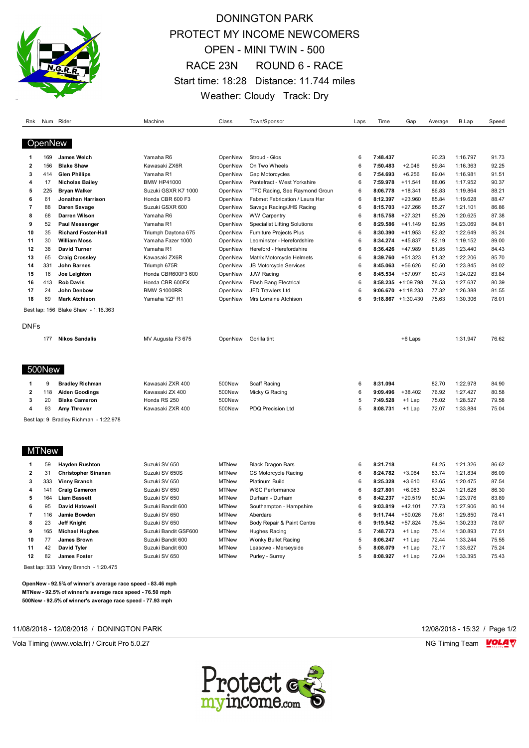

# DONINGTON PARK PROTECT MY INCOME NEWCOMERS OPEN - MINI TWIN - 500 RACE 23N ROUND 6 - RACE Start time: 18:28 Distance: 11.744 miles Weather: Cloudy Track: Dry

| Rnk                     |              | Num Rider                              | Machine              | Class        | Town/Sponsor                        | Laps | Time     | Gap                   | Average | B.Lap    | Speed |
|-------------------------|--------------|----------------------------------------|----------------------|--------------|-------------------------------------|------|----------|-----------------------|---------|----------|-------|
|                         |              |                                        |                      |              |                                     |      |          |                       |         |          |       |
|                         | OpenNew      |                                        |                      |              |                                     |      |          |                       |         |          |       |
| ำ                       | 169          | James Welch                            | Yamaha R6            | OpenNew      | Stroud - Glos                       | 6    | 7:48.437 |                       | 90.23   | 1:16.797 | 91.73 |
| $\overline{\mathbf{2}}$ | 156          | <b>Blake Shaw</b>                      | Kawasaki ZX6R        | OpenNew      | On Two Wheels                       | 6    | 7:50.483 | $+2.046$              | 89.84   | 1:16.363 | 92.25 |
| $\overline{\mathbf{3}}$ | 414          | <b>Glen Phillips</b>                   | Yamaha R1            | OpenNew      | Gap Motorcycles                     | 6    | 7:54.693 | $+6.256$              | 89.04   | 1:16.981 | 91.51 |
| 4                       | 17           | <b>Nicholas Bailey</b>                 | <b>BMW HP41000</b>   | OpenNew      | Pontefract - West Yorkshire         | 6    | 7:59.978 | $+11.541$             | 88.06   | 1:17.952 | 90.37 |
| 5                       | 225          | <b>Bryan Walker</b>                    | Suzuki GSXR K7 1000  | OpenNew      | "TFC Racing, See Raymond Groun      | 6    | 8:06.778 | $+18.341$             | 86.83   | 1:19.864 | 88.21 |
| 6                       | 61           | Jonathan Harrison                      | Honda CBR 600 F3     | OpenNew      | Fabmet Fabrication / Laura Har      | 6    | 8:12.397 | $+23.960$             | 85.84   | 1:19.628 | 88.47 |
| $\overline{7}$          | 88           | Daren Savage                           | Suzuki GSXR 600      | OpenNew      | Savage Racing/JHS Racing            | 6    | 8:15.703 | $+27.266$             | 85.27   | 1:21.101 | 86.86 |
| 8                       | 68           | Darren Wilson                          | Yamaha R6            | OpenNew      | <b>WW Carpentry</b>                 | 6    | 8:15.758 | $+27.321$             | 85.26   | 1:20.625 | 87.38 |
| 9                       | 52           | <b>Paul Messenger</b>                  | Yamaha R1            | OpenNew      | <b>Specialist Lifting Solutions</b> | 6    | 8:29.586 | $+41.149$             | 82.95   | 1:23.069 | 84.81 |
| 10                      | 35           | <b>Richard Foster-Hall</b>             | Triumph Daytona 675  | OpenNew      | Furniture Projects Plus             | 6    | 8:30.390 | $+41.953$             | 82.82   | 1:22.649 | 85.24 |
| 11                      | 30           | <b>William Moss</b>                    | Yamaha Fazer 1000    | OpenNew      | Leominster - Herefordshire          | 6    | 8:34.274 | $+45.837$             | 82.19   | 1:19.152 | 89.00 |
| 12                      | 38           | <b>David Turner</b>                    | Yamaha R1            | OpenNew      | Hereford - Herefordshire            | 6    | 8:36.426 | +47.989               | 81.85   | 1:23.440 | 84.43 |
| 13                      | 65           | <b>Craig Crossley</b>                  | Kawasaki ZX6R        | OpenNew      | Matrix Motorcycle Helmets           | 6    | 8:39.760 | $+51.323$             | 81.32   | 1:22.206 | 85.70 |
| 14                      | 331          | John Barnes                            | Triumph 675R         | OpenNew      | <b>JB Motorcycle Services</b>       | 6    | 8:45.063 | $+56.626$             | 80.50   | 1:23.845 | 84.02 |
| 15                      | 16           | Joe Leighton                           | Honda CBR600F3 600   | OpenNew      | <b>JJW Racing</b>                   | 6    | 8:45.534 | $+57.097$             | 80.43   | 1:24.029 | 83.84 |
| 16                      | 413          | <b>Rob Davis</b>                       | Honda CBR 600FX      | OpenNew      | Flash Bang Electrical               | 6    | 8:58.235 | +1:09.798             | 78.53   | 1:27.637 | 80.39 |
| 17                      | 24           | John Denbow                            | <b>BMW S1000RR</b>   | OpenNew      | JFD Trawlers Ltd                    | 6    |          | 9:06.670 $+1:18.233$  | 77.32   | 1:26.388 | 81.55 |
| 18                      | 69           | <b>Mark Atchison</b>                   | Yamaha YZF R1        | OpenNew      | Mrs Lorraine Atchison               | 6    |          | $9:18.867 + 1:30.430$ | 75.63   | 1:30.306 | 78.01 |
|                         |              | Best lap: 156 Blake Shaw - 1:16.363    |                      |              |                                     |      |          |                       |         |          |       |
|                         |              |                                        |                      |              |                                     |      |          |                       |         |          |       |
| <b>DNFs</b>             |              |                                        |                      |              |                                     |      |          |                       |         |          |       |
|                         | 177          | <b>Nikos Sandalis</b>                  | MV Augusta F3 675    | OpenNew      | Gorilla tint                        |      |          | +6 Laps               |         | 1:31.947 | 76.62 |
|                         |              |                                        |                      |              |                                     |      |          |                       |         |          |       |
|                         |              |                                        |                      |              |                                     |      |          |                       |         |          |       |
|                         | 500New       |                                        |                      |              |                                     |      |          |                       |         |          |       |
| 1                       | 9            | <b>Bradley Richman</b>                 | Kawasaki ZXR 400     | 500New       | Scaff Racing                        | 6    | 8:31.094 |                       | 82.70   | 1:22.978 | 84.90 |
| $\overline{2}$          | 118          | <b>Aiden Goodings</b>                  | Kawasaki ZX 400      | 500New       | Micky G Racing                      | 6    | 9:09.496 | $+38.402$             | 76.92   | 1:27.427 | 80.58 |
| 3                       | 20           | <b>Blake Cameron</b>                   | Honda RS 250         | 500New       |                                     | 5    | 7:49.528 | $+1$ Lap              | 75.02   | 1:28.527 | 79.58 |
| $\overline{4}$          | 93           | Amy Thrower                            | Kawasaki ZXR 400     | 500New       | PDQ Precision Ltd                   | 5    | 8:08.731 | $+1$ Lap              | 72.07   | 1:33.884 | 75.04 |
|                         |              | Best lap: 9 Bradley Richman - 1:22.978 |                      |              |                                     |      |          |                       |         |          |       |
|                         |              |                                        |                      |              |                                     |      |          |                       |         |          |       |
|                         |              |                                        |                      |              |                                     |      |          |                       |         |          |       |
|                         | <b>MTNew</b> |                                        |                      |              |                                     |      |          |                       |         |          |       |
| 1                       | 59           | <b>Hayden Rushton</b>                  | Suzuki SV 650        | <b>MTNew</b> | <b>Black Dragon Bars</b>            | 6    | 8:21.718 |                       | 84.25   | 1:21.326 | 86.62 |
| $\overline{\mathbf{2}}$ | 31           | <b>Christopher Sinanan</b>             | Suzuki SV 650S       | <b>MTNew</b> | CS Motorcycle Racing                | 6    | 8:24.782 | $+3.064$              | 83.74   | 1:21.834 | 86.09 |
| 3                       | 333          | <b>Vinny Branch</b>                    | Suzuki SV 650        | <b>MTNew</b> | <b>Platinum Build</b>               | 6    | 8:25.328 | $+3.610$              | 83.65   | 1:20.475 | 87.54 |
| 4                       | 141          | <b>Craig Cameron</b>                   | Suzuki SV 650        | <b>MTNew</b> | <b>WSC Performance</b>              | 6    | 8:27.801 | $+6.083$              | 83.24   | 1:21.628 | 86.30 |
| 5                       | 164          | <b>Liam Bassett</b>                    | Suzuki SV 650        | <b>MTNew</b> | Durham - Durham                     | 6    | 8:42.237 | $+20.519$             | 80.94   | 1:23.976 | 83.89 |
| 6                       | 95           | David Hatswell                         | Suzuki Bandit 600    | <b>MTNew</b> | Southampton - Hampshire             | 6    | 9:03.819 | $+42.101$             | 77.73   | 1:27.906 | 80.14 |
| $\overline{7}$          | 116          | Jamie Bowden                           | Suzuki SV 650        | <b>MTNew</b> | Aberdare                            | 6    | 9:11.744 | $+50.026$             | 76.61   | 1:29.850 | 78.41 |
| 8                       | 23           | <b>Jeff Knight</b>                     | Suzuki SV 650        | <b>MTNew</b> | Body Repair & Paint Centre          | 6    | 9:19.542 | $+57.824$             | 75.54   | 1:30.233 | 78.07 |
| 9                       | 165          | <b>Michael Hughes</b>                  | Suzuki Bandit GSF600 | <b>MTNew</b> | Hughes Racing                       | 5    | 7:48.773 | +1 Lap                | 75.14   | 1:30.893 | 77.51 |
| 10                      | 77           | James Brown                            | Suzuki Bandit 600    | <b>MTNew</b> | Wonky Bullet Racing                 | 5    | 8:06.247 | $+1$ Lap              | 72.44   | 1:33.244 | 75.55 |
| 11                      | 42           | David Tyler                            | Suzuki Bandit 600    | <b>MTNew</b> | Leasowe - Merseyside                | 5    | 8:08.079 | +1 Lap                | 72.17   | 1:33.627 | 75.24 |
| 12                      | 82           | James Foster                           | Suzuki SV 650        | <b>MTNew</b> | Purley - Surrey                     | 5    | 8:08.927 | +1 Lap                | 72.04   | 1:33.395 | 75.43 |
|                         |              |                                        |                      |              |                                     |      |          |                       |         |          |       |

Best lap: 333 Vinny Branch - 1:20.475

**OpenNew - 92.5% of winner's average race speed - 83.46 mph MTNew - 92.5% of winner's average race speed - 76.50 mph 500New - 92.5% of winner's average race speed - 77.93 mph**

#### 11/08/2018 - 12/08/2018 / DONINGTON PARK 12/08/2018 - 15:32 / Page 1/2

Vola Timing (www.vola.fr) / Circuit Pro 5.0.27 **NG Timing Team Monet Account Contract On Account Profession** NG Timing Team Monet Account Profession NG Timing Team Monet Account Profession NG Timing Team Monet Account Prof

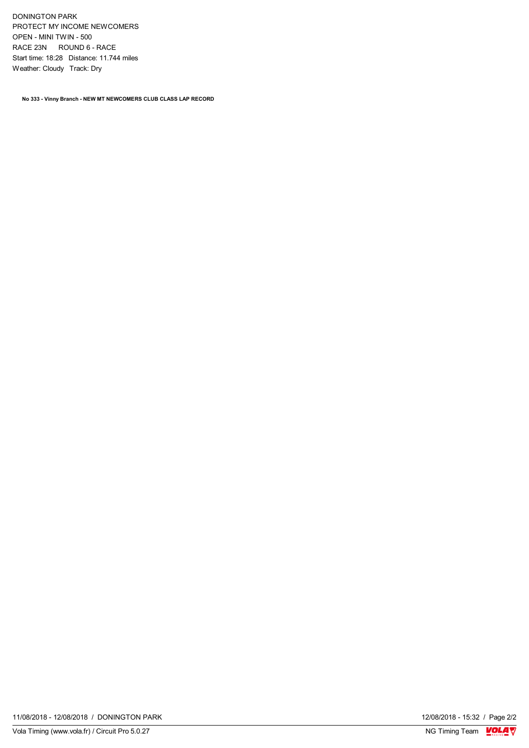DONINGTON PARK PROTECT MY INCOME NEWCOMERS OPEN - MINI TWIN - 500 RACE 23N ROUND 6 - RACE Start time: 18:28 Distance: 11.744 miles Weather: Cloudy Track: Dry

**No 333 - Vinny Branch - NEW MT NEWCOMERS CLUB CLASS LAP RECORD**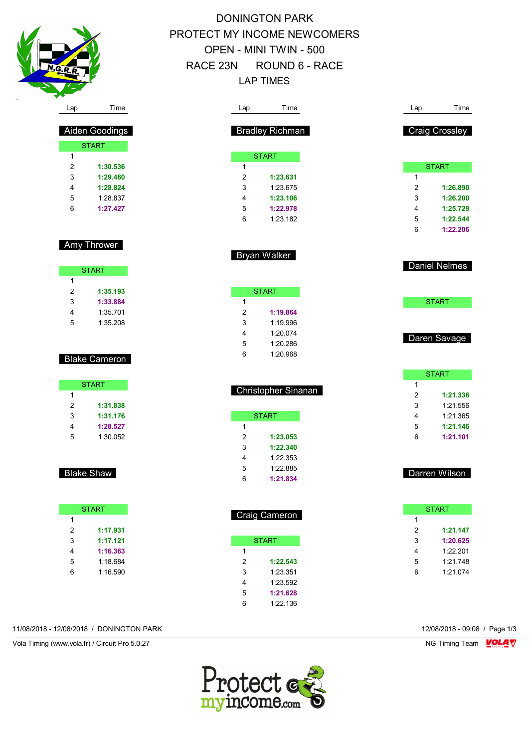

 Aiden Goodings START

> **1:30.536 1:29.460 1:28.824** 1:28.837 **1:27.427**

Amy Thrower

START

 **1:35.193 1:33.884** 1:35.701 1:35.208

Blake Cameron

**START** 

 **1:31.838 1:31.176 1:28.527** 1:30.052

Blake Shaw

**START** 

 **1:17.931 1:17.121 1:16.363** 1:18.684 1:16.590

 $\overline{1}$ 

| DONINGTON PARK                |  |
|-------------------------------|--|
| PROTECT MY INCOME NEWCOMERS   |  |
| <b>OPEN - MINI TWIN - 500</b> |  |
| RACE 23N ROUND 6 - RACE       |  |
| I AP TIMES                    |  |
|                               |  |

| Lap              | Time                   |  | Lap                     | Time                  |
|------------------|------------------------|--|-------------------------|-----------------------|
|                  | <b>Bradley Richman</b> |  |                         | <b>Craig Crossley</b> |
|                  |                        |  |                         |                       |
|                  | <b>START</b>           |  |                         |                       |
| 1                |                        |  |                         | <b>START</b>          |
| $\overline{2}$   | 1:23.631               |  | 1                       |                       |
| 3                | 1:23.675               |  | $\overline{2}$          | 1:26.890              |
| 4                | 1:23.106               |  | 3                       | 1:26.200              |
| 5                | 1:22.978               |  | 4                       | 1:25.729              |
| 6                | 1:23.182               |  | 5                       | 1:22.544              |
|                  |                        |  | 6                       | 1:22.206              |
|                  | Bryan Walker           |  |                         |                       |
|                  |                        |  |                         | <b>Daniel Nelmes</b>  |
|                  | <b>START</b>           |  |                         |                       |
| 1                |                        |  |                         | <b>START</b>          |
| $\overline{2}$   | 1:19.864               |  |                         |                       |
| 3                | 1:19.996               |  |                         |                       |
| 4                | 1:20.074               |  |                         | Daren Savage          |
| 5                | 1:20.286               |  |                         |                       |
| 6                | 1:20.968               |  |                         |                       |
|                  |                        |  |                         | <b>START</b>          |
|                  | Christopher Sinanan    |  | 1                       |                       |
|                  |                        |  | 2<br>3                  | 1:21.336<br>1:21.556  |
|                  |                        |  |                         |                       |
| 1                | <b>START</b>           |  | 4<br>5                  | 1:21.365<br>1:21.146  |
| $\boldsymbol{2}$ |                        |  | 6                       | 1:21.101              |
| 3                | 1:23.053<br>1:22.340   |  |                         |                       |
| 4                | 1:22.353               |  |                         |                       |
| 5                | 1:22.885               |  |                         |                       |
| 6                | 1:21.834               |  |                         | Darren Wilson         |
|                  |                        |  |                         |                       |
|                  | <b>Craig Cameron</b>   |  |                         | <b>START</b>          |
|                  |                        |  | $\mathbf{1}$            |                       |
|                  |                        |  | $\overline{\mathbf{c}}$ | 1:21.147              |
|                  | <b>START</b>           |  | 3                       | 1:20.625              |
| 1                |                        |  | 4                       | 1:22.201              |
| $\overline{2}$   | 1:22.543               |  | 5                       | 1:21.748              |
| 3                | 1:23.351               |  | 6                       | 1:21.074              |
| 4                | 1:23.592               |  |                         |                       |

11/08/2018 - 12/08/2018 / DONINGTON PARK 12/08/2018 - 09:08 / Page 1/3

Vola Timing (www.vola.fr) / Circuit Pro 5.0.27 NG Timing Team Monetary NG Timing Team Monetary



 **1:21.628** 1:22.136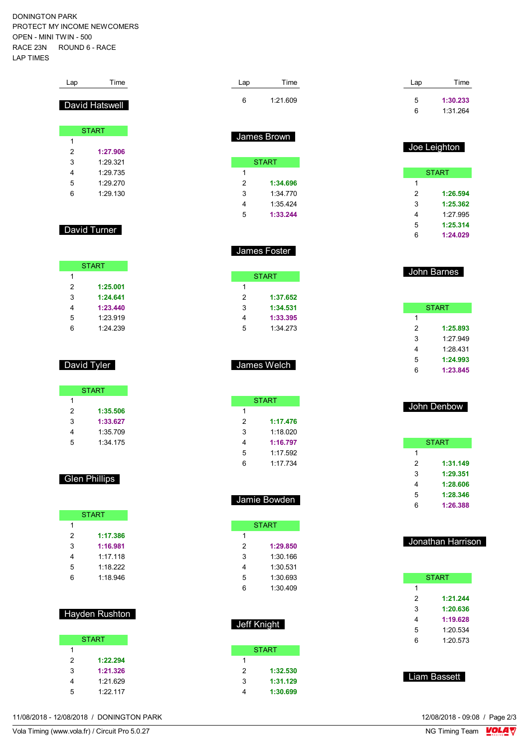DONINGTON PARK PROTECT MY INCOME NEWCOMERS OPEN - MINI TWIN - 500 RACE 23N ROUND 6 - RACE LAP TIMES

| Lap            | Time                 |  | Lap         | Time                 |
|----------------|----------------------|--|-------------|----------------------|
|                |                      |  | 6           | 1:21.609             |
|                | David Hatswell       |  |             |                      |
|                |                      |  |             |                      |
|                | <b>START</b>         |  |             |                      |
| 1              |                      |  |             | James Brown          |
| $\overline{2}$ | 1:27.906             |  |             |                      |
| 3              | 1:29.321             |  |             | <b>START</b>         |
| 4              | 1:29.735             |  | 1           |                      |
| 5              | 1:29.270             |  | 2           | 1:34.696             |
| 6              | 1:29.130             |  | 3           | 1:34.770             |
|                |                      |  | 4           | 1:35.424             |
|                |                      |  | 5           | 1:33.244             |
|                | David Turner         |  |             |                      |
|                |                      |  |             |                      |
|                |                      |  |             | James Foster         |
|                | <b>START</b>         |  |             |                      |
| 1              |                      |  |             | <b>START</b>         |
| 2              | 1:25.001             |  | 1           |                      |
| 3              | 1:24.641             |  | 2           | 1:37.652             |
| 4              | 1:23.440             |  | 3           | 1:34.531             |
| 5              | 1:23.919             |  | 4           | 1:33.395             |
| 6              | 1:24.239             |  | 5           | 1:34.273             |
|                |                      |  |             |                      |
|                |                      |  |             |                      |
|                | David Tyler          |  |             | James Welch          |
|                |                      |  |             |                      |
|                | <b>START</b>         |  |             |                      |
| 1              |                      |  |             | <b>START</b>         |
| 2              | 1:35.506             |  | 1           |                      |
| 3              | 1:33.627             |  | 2           | 1:17.476             |
| 4<br>5         | 1:35.709<br>1:34.175 |  | 3<br>4      | 1:18.020<br>1:16.797 |
|                |                      |  | 5           | 1:17.592             |
|                |                      |  | 6           | 1:17.734             |
|                |                      |  |             |                      |
|                | <b>Glen Phillips</b> |  |             |                      |
|                |                      |  |             | Jamie Bowden         |
|                |                      |  |             |                      |
|                | <b>START</b>         |  |             |                      |
| 1<br>2         | 1:17.386             |  | 1           | <b>START</b>         |
| 3              | 1:16.981             |  | 2           | 1:29.850             |
| 4              | 1:17.118             |  | 3           | 1:30.166             |
| 5              | 1:18.222             |  | 4           | 1:30.531             |
| 6              | 1:18.946             |  | 5           | 1:30.693             |
|                |                      |  | 6           | 1:30.409             |
|                |                      |  |             |                      |
|                | Hayden Rushton       |  |             |                      |
|                |                      |  | Jeff Knight |                      |
|                |                      |  |             |                      |
| 1              | <b>START</b>         |  |             | <b>START</b>         |
| $\overline{c}$ | 1:22.294             |  | 1           |                      |

 **1:32.530 1:31.129 1:30.699**

| Lap | Time     |
|-----|----------|
| 5   | 1:30.233 |
| 6   | 1:31.264 |
|     |          |
|     |          |

| Joe Leighton |  |
|--------------|--|
| <b>START</b> |  |

| 1  |          |
|----|----------|
| 2  | 1:26.594 |
| 3  | 1:25.362 |
| 4  | 1.27995  |
| 5  | 1:25.314 |
| ่ค | 1:24.029 |

| John Barnes |
|-------------|
|             |
|             |

| <b>START</b> |          |  |  |  |
|--------------|----------|--|--|--|
| 1            |          |  |  |  |
| 2            | 1:25.893 |  |  |  |
| 3            | 1.27.949 |  |  |  |
| 4            | 1:28 431 |  |  |  |
| 5            | 1:24.993 |  |  |  |
| հ            | 1:23.845 |  |  |  |

|   | John Denbow |
|---|-------------|
|   | START       |
|   |             |
| - |             |

| 2 | 1:31.149 |
|---|----------|
| з | 1:29.351 |
| 4 | 1:28.606 |
| 5 | 1:28.346 |
| 6 | 1:26.388 |

| Jonathan Harrison |  |
|-------------------|--|
|                   |  |

|   | START    |  |  |
|---|----------|--|--|
| 1 |          |  |  |
| 2 | 1:21.244 |  |  |
| 3 | 1:20.636 |  |  |
| 4 | 1:19.628 |  |  |
| 5 | 1:20.534 |  |  |
| 6 | 1:20.573 |  |  |
|   |          |  |  |

Liam Bassett

11/08/2018 - 12/08/2018 / DONINGTON PARK

 **1:21.326** 1:21.629 1:22.117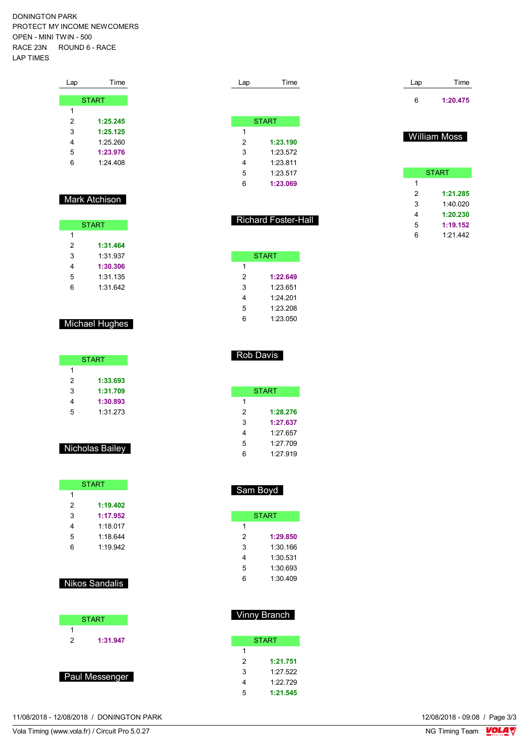DONINGTON PARK PROTECT MY INCOME NEWCOMERS OPEN - MINI TWIN - 500 RACE 23N ROUND 6 - RACE LAP TIMES

| Lap | Time         |
|-----|--------------|
|     | <b>START</b> |
| 1   |              |
| 2   | 1:25.245     |
| 3   | 1:25.125     |
| 4   | 1.25260      |
| 5   | 1:23.976     |
| 6   | 1.24408      |
|     |              |

#### **Mark Atchison**

| <b>START</b> |          |  |
|--------------|----------|--|
| 1            |          |  |
| 2            | 1:31.464 |  |
| 3            | 1:31 937 |  |
| 4            | 1:30.306 |  |
| 5            | 1:31.135 |  |
| հ            | 1:31.642 |  |

### Michael Hughes

| <b>START</b> |          |  |
|--------------|----------|--|
| 1            |          |  |
| 2            | 1:33.693 |  |
| 3            | 1:31.709 |  |
| 4            | 1:30.893 |  |
| 5            | 1:31.273 |  |

### Nicholas Bailey

| <b>START</b> |          |  |
|--------------|----------|--|
| 1            |          |  |
| 2            | 1:19.402 |  |
| 3            | 1:17.952 |  |
| 4            | 1:18.017 |  |
| 5            | 1.18644  |  |
| հ            | 1:19.942 |  |

### Nikos Sandalis

| <b>START</b> |          |  |
|--------------|----------|--|
|              |          |  |
| 2            | 1:31.947 |  |
|              |          |  |
|              |          |  |

Paul Messenger

|   | <b>START</b> |  |  |
|---|--------------|--|--|
| 1 |              |  |  |
| 2 | 1:23.190     |  |  |
| 3 | 1:23.572     |  |  |
| 4 | 1:23.811     |  |  |
| 5 | 1:23.517     |  |  |
| 6 | 1:23.069     |  |  |
|   |              |  |  |

Lap Time

### Richard Foster-Hall

| START |          |  |
|-------|----------|--|
| 1     |          |  |
| 2     | 1:22.649 |  |
| 3     | 1:23.651 |  |
| 4     | 1.24201  |  |
| 5     | 1:23.208 |  |
| հ     | 1:23.050 |  |

#### Rob Davis

| START |          |  |
|-------|----------|--|
| 1     |          |  |
| 2     | 1:28.276 |  |
| 3     | 1:27.637 |  |
| 4     | 1:27.657 |  |
| 5     | 1:27.709 |  |
| հ     | 1:27.919 |  |

## Sam Boyd

| START |          |  |  |
|-------|----------|--|--|
| 1     |          |  |  |
| 2     | 1:29.850 |  |  |
| 3     | 1:30.166 |  |  |
| 4     | 1:30.531 |  |  |
| 5     | 1:30.693 |  |  |
| հ     | 1.30.409 |  |  |

## Vinny Branch

| <b>START</b> |          |  |
|--------------|----------|--|
| 1            |          |  |
| 2            | 1:21.751 |  |
| 3            | 1:27.522 |  |
| 4            | 1:22.729 |  |
| 5            | 1:21.545 |  |

| Lap | Time     |
|-----|----------|
| 6   | 1:20.475 |

### William Moss

|   | <b>START</b> |
|---|--------------|
| 1 |              |
| 2 | 1:21.285     |
| 3 | 1:40.020     |
| 4 | 1:20.230     |
| 5 | 1:19.152     |
| 6 | 1:21.442     |

11/08/2018 - 12/08/2018 / DONINGTON PARK

Vola Timing (www.vola.fr) / Circuit Pro 5.0.27